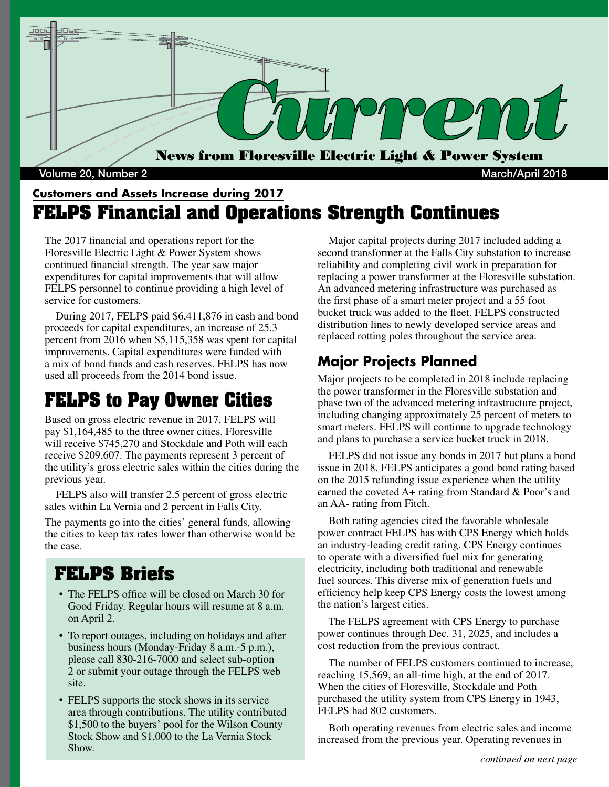

#### **Customers and Assets Increase during 2017 FELPS Financial and Operations Strength Continues**

The 2017 financial and operations report for the Floresville Electric Light & Power System shows continued financial strength. The year saw major expenditures for capital improvements that will allow FELPS personnel to continue providing a high level of service for customers.

 During 2017, FELPS paid \$6,411,876 in cash and bond proceeds for capital expenditures, an increase of 25.3 percent from 2016 when \$5,115,358 was spent for capital improvements. Capital expenditures were funded with a mix of bond funds and cash reserves. FELPS has now used all proceeds from the 2014 bond issue.

# **FELPS to Pay Owner Cities**

Based on gross electric revenue in 2017, FELPS will pay \$1,164,485 to the three owner cities. Floresville will receive \$745,270 and Stockdale and Poth will each receive \$209,607. The payments represent 3 percent of the utility's gross electric sales within the cities during the previous year.

 FELPS also will transfer 2.5 percent of gross electric sales within La Vernia and 2 percent in Falls City.

The payments go into the cities' general funds, allowing the cities to keep tax rates lower than otherwise would be the case.

#### **FELPS Briefs**

- The FELPS office will be closed on March 30 for Good Friday. Regular hours will resume at 8 a.m. on April 2.
- To report outages, including on holidays and after business hours (Monday-Friday 8 a.m.-5 p.m.), please call 830-216-7000 and select sub-option 2 or submit your outage through the FELPS web site.
- FELPS supports the stock shows in its service area through contributions. The utility contributed \$1,500 to the buyers' pool for the Wilson County Stock Show and \$1,000 to the La Vernia Stock Show.

 Major capital projects during 2017 included adding a second transformer at the Falls City substation to increase reliability and completing civil work in preparation for replacing a power transformer at the Floresville substation. An advanced metering infrastructure was purchased as the first phase of a smart meter project and a 55 foot bucket truck was added to the fleet. FELPS constructed distribution lines to newly developed service areas and replaced rotting poles throughout the service area.

#### **Major Projects Planned**

Major projects to be completed in 2018 include replacing the power transformer in the Floresville substation and phase two of the advanced metering infrastructure project, including changing approximately 25 percent of meters to smart meters. FELPS will continue to upgrade technology and plans to purchase a service bucket truck in 2018.

 FELPS did not issue any bonds in 2017 but plans a bond issue in 2018. FELPS anticipates a good bond rating based on the 2015 refunding issue experience when the utility earned the coveted A+ rating from Standard & Poor's and an AA- rating from Fitch.

 Both rating agencies cited the favorable wholesale power contract FELPS has with CPS Energy which holds an industry-leading credit rating. CPS Energy continues to operate with a diversified fuel mix for generating electricity, including both traditional and renewable fuel sources. This diverse mix of generation fuels and efficiency help keep CPS Energy costs the lowest among the nation's largest cities.

 The FELPS agreement with CPS Energy to purchase power continues through Dec. 31, 2025, and includes a cost reduction from the previous contract.

 The number of FELPS customers continued to increase, reaching 15,569, an all-time high, at the end of 2017. When the cities of Floresville, Stockdale and Poth purchased the utility system from CPS Energy in 1943, FELPS had 802 customers.

 Both operating revenues from electric sales and income increased from the previous year. Operating revenues in